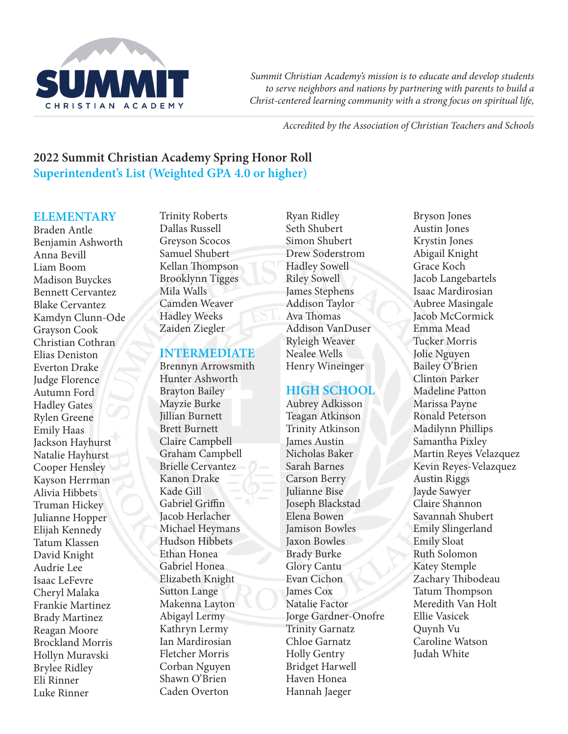

*Summit Christian Academy's mission is to educate and develop students to serve neighbors and nations by partnering with parents to build a Christ-centered learning community with a strong focus on spiritual life,* 

*Accredited by the Association of Christian Teachers and Schools*

# **2022 Summit Christian Academy Spring Honor Roll Superintendent's List (Weighted GPA 4.0 or higher)**

### **ELEMENTARY**

Braden Antle Benjamin Ashworth Anna Bevill Liam Boom Madison Buyckes Bennett Cervantez Blake Cervantez Kamdyn Clunn-Ode Grayson Cook Christian Cothran Elias Deniston Everton Drake Judge Florence Autumn Ford Hadley Gates Rylen Greene Emily Haas Jackson Hayhurst Natalie Hayhurst Cooper Hensley Kayson Herrman Alivia Hibbets Truman Hickey Julianne Hopper Elijah Kennedy Tatum Klassen David Knight Audrie Lee Isaac LeFevre Cheryl Malaka Frankie Martinez Brady Martinez Reagan Moore Brockland Morris Hollyn Muravski Brylee Ridley Eli Rinner Luke Rinner

Trinity Roberts Dallas Russell Greyson Scocos Samuel Shubert Kellan Thompson Brooklynn Tigges Mila Walls Camden Weaver Hadley Weeks Zaiden Ziegler

#### **INTERMEDIATE**

Brennyn Arrowsmith Hunter Ashworth Brayton Bailey Mayzie Burke Jillian Burnett Brett Burnett Claire Campbell Graham Campbell Brielle Cervantez Kanon Drake Kade Gill Gabriel Griffin Jacob Herlacher Michael Heymans Hudson Hibbets Ethan Honea Gabriel Honea Elizabeth Knight Sutton Lange Makenna Layton Abigayl Lermy Kathryn Lermy Ian Mardirosian Fletcher Morris Corban Nguyen Shawn O'Brien Caden Overton

Ryan Ridley Seth Shubert Simon Shubert Drew Soderstrom Hadley Sowell Riley Sowell James Stephens Addison Taylor Ava Thomas Addison VanDuser Ryleigh Weaver Nealee Wells Henry Wineinger

## **HIGH SCHOOL**

Aubrey Adkisson Teagan Atkinson Trinity Atkinson James Austin Nicholas Baker Sarah Barnes Carson Berry Julianne Bise Joseph Blackstad Elena Bowen Jamison Bowles Jaxon Bowles Brady Burke Glory Cantu Evan Cichon James Cox Natalie Factor Jorge Gardner-Onofre Trinity Garnatz Chloe Garnatz Holly Gentry Bridget Harwell Haven Honea Hannah Jaeger

Bryson Jones Austin Jones Krystin Jones Abigail Knight Grace Koch Jacob Langebartels Isaac Mardirosian Aubree Masingale Jacob McCormick Emma Mead Tucker Morris Jolie Nguyen Bailey O'Brien Clinton Parker Madeline Patton Marissa Payne Ronald Peterson Madilynn Phillips Samantha Pixley Martin Reyes Velazquez Kevin Reyes-Velazquez Austin Riggs Jayde Sawyer Claire Shannon Savannah Shubert Emily Slingerland Emily Sloat Ruth Solomon Katey Stemple Zachary Thibodeau Tatum Thompson Meredith Van Holt Ellie Vasicek Quynh Vu Caroline Watson Judah White